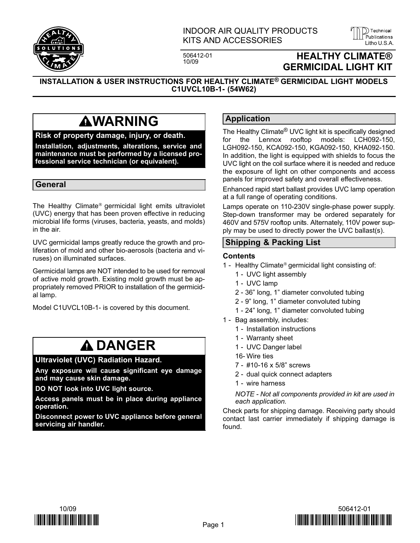

## INDOOR AIR QUALITY PRODUCTS KITS AND ACCESSORIES LITTED AND ALL AND AND ALL AND ACCESSORIES

506412−01



)) Technical

INSTALLATION & USER INSTRUCTIONS FOR HEALTHY CLIMATE® GERMICIDAL LIGHT MODELS C1UVCL10B−1− (54W62)

## **AWARNING**

### Risk of property damage, injury, or death.

Installation, adjustments, alterations, service and maintenance must be performed by a licensed professional service technician (or equivalent).

### General

The Healthy Climate® germicidal light emits ultraviolet (UVC) energy that has been proven effective in reducing microbial life forms (viruses, bacteria, yeasts, and molds) in the air.

UVC germicidal lamps greatly reduce the growth and proliferation of mold and other bio−aerosols (bacteria and viruses) on illuminated surfaces.

Germicidal lamps are NOT intended to be used for removal of active mold growth. Existing mold growth must be appropriately removed PRIOR to installation of the germicidal lamp.

Model C1UVCL10B−1− is covered by this document.

## **A DANGER**

#### Ultraviolet (UVC) Radiation Hazard.

Any exposure will cause significant eye damage and may cause skin damage.

DO NOT look into UVC light source.

Access panels must be in place during appliance operation.

Disconnect power to UVC appliance before general servicing air handler.

## Application

The Healthy Climate® UVC light kit is specifically designed for the Lennox rooftop models: LCH092−150, LGH092−150, KCA092−150, KGA092−150, KHA092−150. In addition, the light is equipped with shields to focus the UVC light on the coil surface where it is needed and reduce the exposure of light on other components and access panels for improved safety and overall effectiveness.

Enhanced rapid start ballast provides UVC lamp operation at a full range of operating conditions.

Lamps operate on 110−230V single-phase power supply. Step-down transformer may be ordered separately for 460V and 575V rooftop units. Alternately, 110V power supply may be used to directly power the UVC ballast(s).

### Shipping & Packing List

#### **Contents**

- 1 − Healthy Climate® germicidal light consisting of:
	- 1 − UVC light assembly
	- 1 − UVC lamp
	- 2 − 36" long, 1" diameter convoluted tubing
	- 2 − 9" long, 1" diameter convoluted tubing
	- 1 − 24" long, 1" diameter convoluted tubing
- 1 Bag assembly, includes:
	- 1 − Installation instructions
	- 1 − Warranty sheet
	- 1 − UVC Danger label
	- 16− Wire ties
	- 7 − #10−16 x 5/8" screws
	- 2 − dual quick connect adapters
	- 1 − wire harness

NOTE − Not all components provided in kit are used in each application.

Check parts for shipping damage. Receiving party should contact last carrier immediately if shipping damage is found.



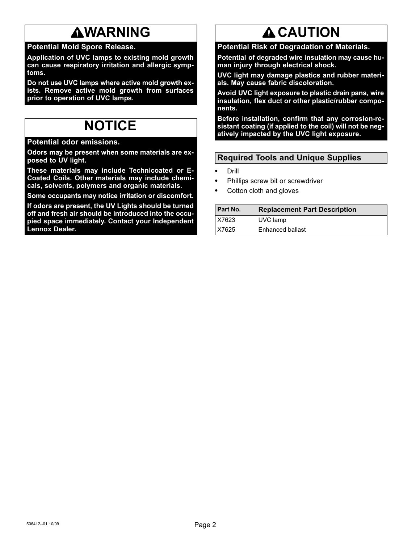# **AWARNING**

## Potential Mold Spore Release.

Application of UVC lamps to existing mold growth can cause respiratory irritation and allergic symptoms.

Do not use UVC lamps where active mold growth exists. Remove active mold growth from surfaces prior to operation of UVC lamps.

## NOTICE

Potential odor emissions.

Odors may be present when some materials are exposed to UV light.

These materials may include Technicoated or E− Coated Coils. Other materials may include chemicals, solvents, polymers and organic materials.

Some occupants may notice irritation or discomfort.

If odors are present, the UV Lights should be turned off and fresh air should be introduced into the occupied space immediately. Contact your Independent Lennox Dealer.

# **A CAUTION**

Potential Risk of Degradation of Materials.

Potential of degraded wire insulation may cause human injury through electrical shock.

UVC light may damage plastics and rubber materials. May cause fabric discoloration.

Avoid UVC light exposure to plastic drain pans, wire insulation, flex duct or other plastic/rubber components.

Before installation, confirm that any corrosion-resistant coating (if applied to the coil) will not be negatively impacted by the UVC light exposure.

## Required Tools and Unique Supplies

- - Drill -
- Phillips screw bit or screwdriver -
- Cotton cloth and gloves

| <b>Part No.</b> | <b>Replacement Part Description</b> |
|-----------------|-------------------------------------|
| X7623           | UVC lamp                            |
| X7625           | Enhanced ballast                    |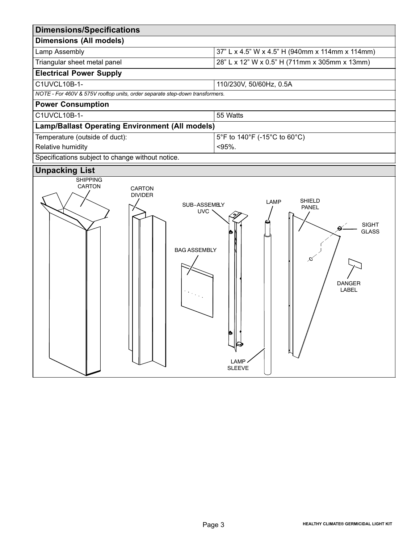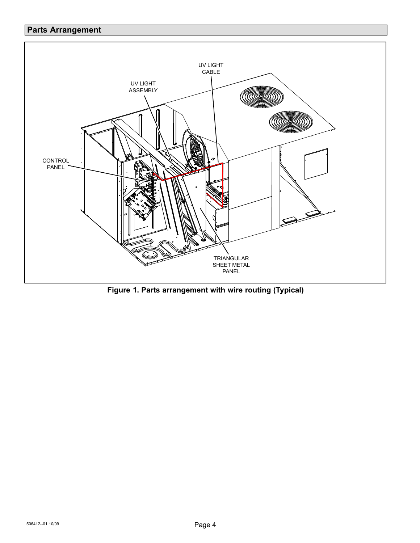## <span id="page-3-0"></span>Parts Arrangement



Figure 1. Parts arrangement with wire routing (Typical)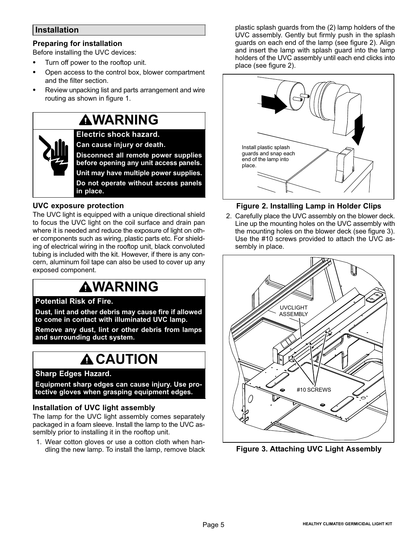### <span id="page-4-0"></span>Installation

### Preparing for installation

Before installing the UVC devices: -

- Turn off power to the rooftop unit. -
- Open access to the control box, blower compartment and the filter section.
- Review unpacking list and parts arrangement and wire routing as shown in figure [1](#page-3-0).

## **AWARNING**

Electric shock hazard. Can cause injury or death. Disconnect all remote power supplies

before opening any unit access panels. Unit may have multiple power supplies. Do not operate without access panels in place.

### UVC exposure protection

The UVC light is equipped with a unique directional shield to focus the UVC light on the coil surface and drain pan where it is needed and reduce the exposure of light on other components such as wiring, plastic parts etc. For shielding of electrical wiring in the rooftop unit, black convoluted tubing is included with the kit. However, if there is any concern, aluminum foil tape can also be used to cover up any exposed component.

# **AWARNING**

### Potential Risk of Fire.

Dust, lint and other debris may cause fire if allowed to come in contact with illuminated UVC lamp.

Remove any dust, lint or other debris from lamps and surrounding duct system.

## **A CAUTION**

### Sharp Edges Hazard.

Equipment sharp edges can cause injury. Use protective gloves when grasping equipment edges.

### Installation of UVC light assembly

The lamp for the UVC light assembly comes separately packaged in a foam sleeve. Install the lamp to the UVC assemlbly prior to installing it in the rooftop unit.

1. Wear cotton gloves or use a cotton cloth when handling the new lamp. To install the lamp, remove black plastic splash guards from the (2) lamp holders of the UVC assembly. Gently but firmly push in the splash guards on each end of the lamp (see figure 2). Align and insert the lamp with splash guard into the lamp holders of the UVC assembly until each end clicks into place (see figure 2).



### Figure 2. Installing Lamp in Holder Clips

2. Carefully place the UVC assembly on the blower deck. Line up the mounting holes on the UVC assembly with the mounting holes on the blower deck (see figure 3). Use the #10 screws provided to attach the UVC assembly in place.



Figure 3. Attaching UVC Light Assembly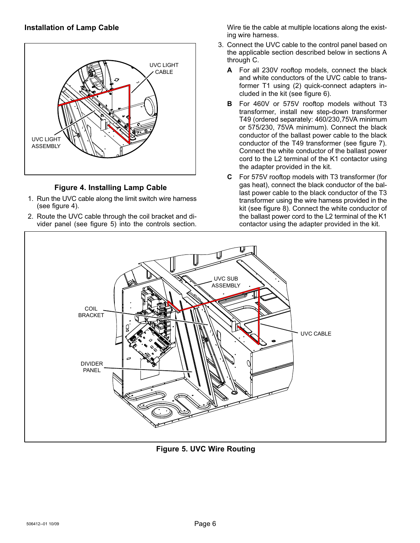### Installation of Lamp Cable



### Figure 4. Installing Lamp Cable

- 1. Run the UVC cable along the limit switch wire harness (see figure 4).
- 2. Route the UVC cable through the coil bracket and divider panel (see figure 5) into the controls section.

Wire tie the cable at multiple locations along the existing wire harness.

- 3. Connect the UVC cable to the control panel based on the applicable section described below in sections A through C.
	- A For all 230V rooftop models, connect the black and white conductors of the UVC cable to transformer T1 using (2) quick−connect adapters included in the kit (see figure [6](#page-6-0)).
	- B For 460V or 575V rooftop models without T3 transformer, install new step−down transformer T49 (ordered separately: 460/230,75VA minimum or 575/230, 75VA minimum). Connect the black conductor of the ballast power cable to the black conductor of the T49 transformer (see figure [7\)](#page-6-0). Connect the white conductor of the ballast power cord to the L2 terminal of the K1 contactor using the adapter provided in the kit.
	- C For 575V rooftop models with T3 transformer (for gas heat), connect the black conductor of the ballast power cable to the black conductor of the T3 transformer using the wire harness provided in the kit (see figure [8\)](#page-6-0). Connect the white conductor of the ballast power cord to the L2 terminal of the K1 contactor using the adapter provided in the kit.



Figure 5. UVC Wire Routing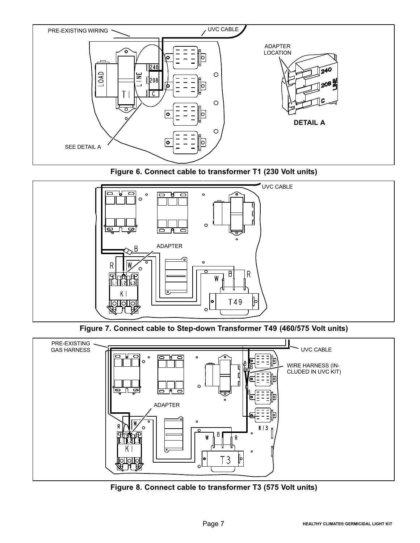<span id="page-6-0"></span>





Figure 7. Connect cable to Step−down Transformer T49 (460/575 Volt units)



Figure 8. Connect cable to transformer T3 (575 Volt units)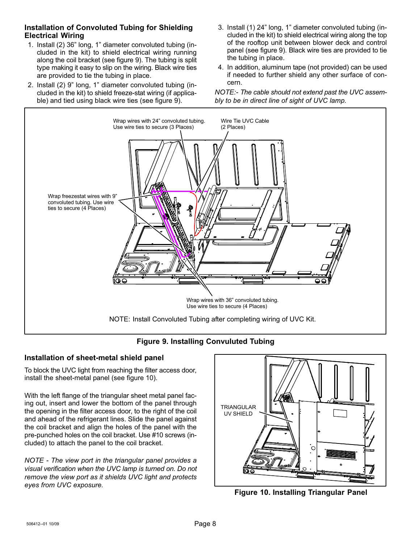### Installation of Convoluted Tubing for Shielding Electrical Wiring

- 1. Install (2) 36" long, 1" diameter convoluted tubing (included in the kit) to shield electrical wiring running along the coil bracket (see figure 9). The tubing is split type making it easy to slip on the wiring. Black wire ties are provided to tie the tubing in place.
- 2. Install (2) 9" long, 1" diameter convoluted tubing (included in the kit) to shield freeze−stat wiring (if applicable) and tied using black wire ties (see figure 9).
- 3. Install (1) 24" long, 1" diameter convoluted tubing (included in the kit) to shield electrical wiring along the top of the rooftop unit between blower deck and control panel (see figure 9). Black wire ties are provided to tie the tubing in place.
- 4. In addition, aluminum tape (not provided) can be used if needed to further shield any other surface of concern.

NOTE:− The cable should not extend past the UVC assembly to be in direct line of sight of UVC lamp.



## Figure 9. Installing Convuluted Tubing

### Installation of sheet−metal shield panel

To block the UVC light from reaching the filter access door, install the sheet−metal panel (see figure 10).

With the left flange of the triangular sheet metal panel facing out, insert and lower the bottom of the panel through the opening in the filter access door, to the right of the coil and ahead of the refrigerant lines. Slide the panel against the coil bracket and align the holes of the panel with the pre−punched holes on the coil bracket. Use #10 screws (included) to attach the panel to the coil bracket.

NOTE − The view port in the triangular panel provides a visual verification when the UVC lamp is turned on. Do not remove the view port as it shields UVC light and protects eyes from UVC exposure.



Figure 10. Installing Triangular Panel